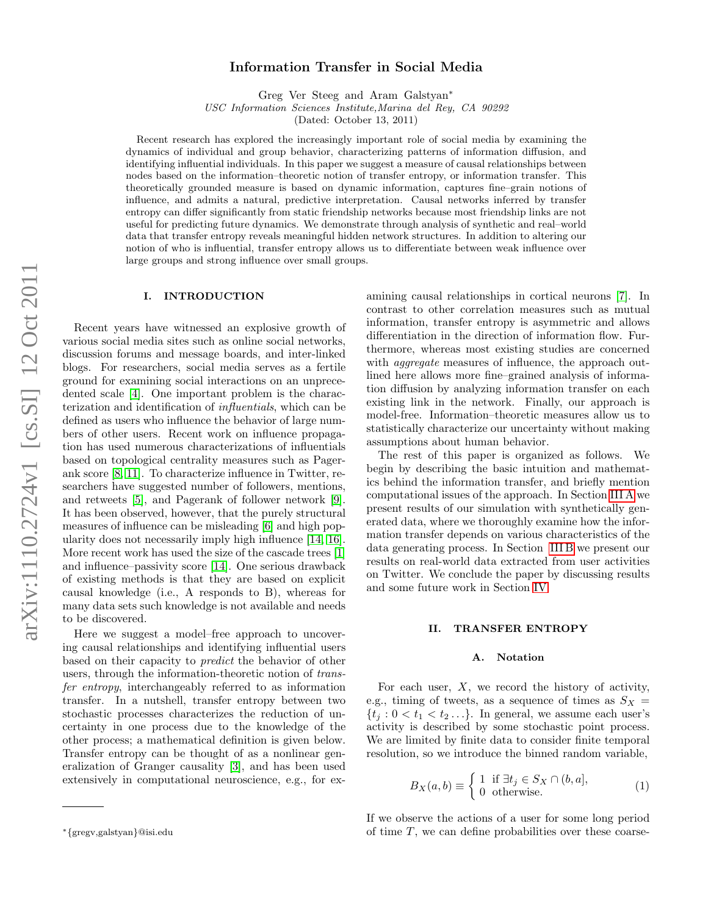# Information Transfer in Social Media

Greg Ver Steeg and Aram Galstyan<sup>∗</sup>

USC Information Sciences Institute,Marina del Rey, CA 90292

(Dated: October 13, 2011)

Recent research has explored the increasingly important role of social media by examining the dynamics of individual and group behavior, characterizing patterns of information diffusion, and identifying influential individuals. In this paper we suggest a measure of causal relationships between nodes based on the information–theoretic notion of transfer entropy, or information transfer. This theoretically grounded measure is based on dynamic information, captures fine–grain notions of influence, and admits a natural, predictive interpretation. Causal networks inferred by transfer entropy can differ significantly from static friendship networks because most friendship links are not useful for predicting future dynamics. We demonstrate through analysis of synthetic and real–world data that transfer entropy reveals meaningful hidden network structures. In addition to altering our notion of who is influential, transfer entropy allows us to differentiate between weak influence over large groups and strong influence over small groups.

#### I. INTRODUCTION

Recent years have witnessed an explosive growth of various social media sites such as online social networks, discussion forums and message boards, and inter-linked blogs. For researchers, social media serves as a fertile ground for examining social interactions on an unprecedented scale [\[4\]](#page-7-0). One important problem is the characterization and identification of influentials, which can be defined as users who influence the behavior of large numbers of other users. Recent work on influence propagation has used numerous characterizations of influentials based on topological centrality measures such as Pagerank score [\[8,](#page-7-1) [11\]](#page-7-2). To characterize influence in Twitter, researchers have suggested number of followers, mentions, and retweets [\[5\]](#page-7-3), and Pagerank of follower network [\[9\]](#page-7-4). It has been observed, however, that the purely structural measures of influence can be misleading [\[6\]](#page-7-5) and high popularity does not necessarily imply high influence [\[14,](#page-7-6) [16\]](#page-7-7). More recent work has used the size of the cascade trees [\[1\]](#page-7-8) and influence–passivity score [\[14\]](#page-7-6). One serious drawback of existing methods is that they are based on explicit causal knowledge (i.e., A responds to B), whereas for many data sets such knowledge is not available and needs to be discovered.

Here we suggest a model–free approach to uncovering causal relationships and identifying influential users based on their capacity to predict the behavior of other users, through the information-theoretic notion of transfer entropy, interchangeably referred to as information transfer. In a nutshell, transfer entropy between two stochastic processes characterizes the reduction of uncertainty in one process due to the knowledge of the other process; a mathematical definition is given below. Transfer entropy can be thought of as a nonlinear generalization of Granger causality [\[3\]](#page-7-9), and has been used extensively in computational neuroscience, e.g., for examining causal relationships in cortical neurons [\[7\]](#page-7-10). In contrast to other correlation measures such as mutual information, transfer entropy is asymmetric and allows differentiation in the direction of information flow. Furthermore, whereas most existing studies are concerned with *aggregate* measures of influence, the approach outlined here allows more fine–grained analysis of information diffusion by analyzing information transfer on each existing link in the network. Finally, our approach is model-free. Information–theoretic measures allow us to statistically characterize our uncertainty without making assumptions about human behavior.

The rest of this paper is organized as follows. We begin by describing the basic intuition and mathematics behind the information transfer, and briefly mention computational issues of the approach. In Section [III A](#page-2-0) we present results of our simulation with synthetically generated data, where we thoroughly examine how the information transfer depends on various characteristics of the data generating process. In Section [III B](#page-3-0) we present our results on real-world data extracted from user activities on Twitter. We conclude the paper by discussing results and some future work in Section [IV.](#page-6-0)

#### II. TRANSFER ENTROPY

#### A. Notation

For each user,  $X$ , we record the history of activity, e.g., timing of tweets, as a sequence of times as  $S_X =$  $\{t_i : 0 < t_1 < t_2 \ldots \}.$  In general, we assume each user's activity is described by some stochastic point process. We are limited by finite data to consider finite temporal resolution, so we introduce the binned random variable,

$$
B_X(a, b) \equiv \begin{cases} 1 & \text{if } \exists t_j \in S_X \cap (b, a], \\ 0 & \text{otherwise.} \end{cases}
$$
 (1)

If we observe the actions of a user for some long period of time  $T$ , we can define probabilities over these coarse-

<sup>∗</sup>{gregv,galstyan}@isi.edu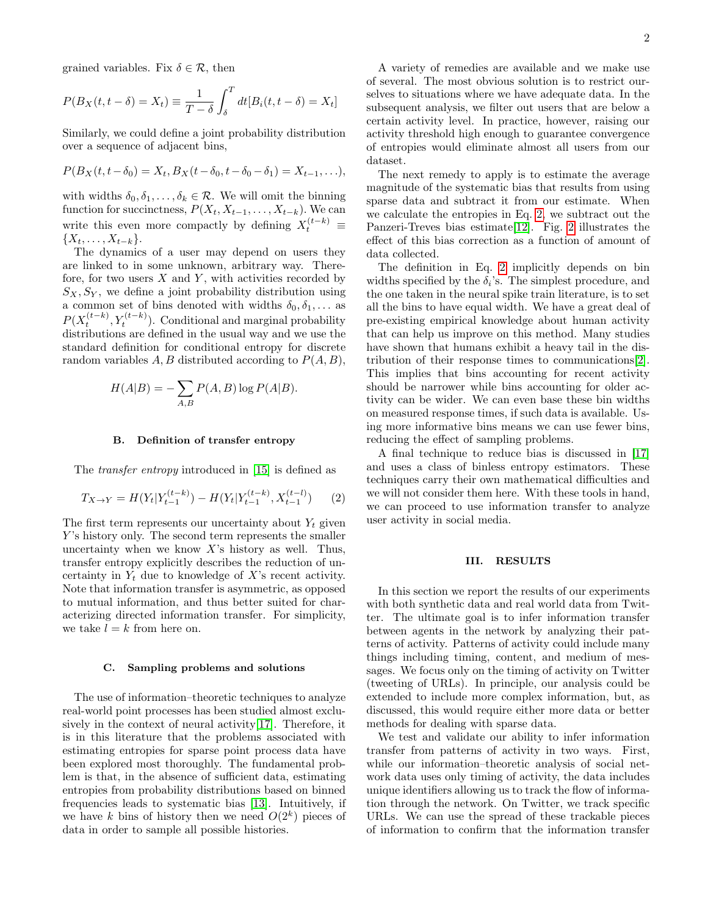grained variables. Fix  $\delta \in \mathcal{R}$ , then

$$
P(B_X(t, t - \delta) = X_t) \equiv \frac{1}{T - \delta} \int_{\delta}^{T} dt [B_i(t, t - \delta) = X_t]
$$

Similarly, we could define a joint probability distribution over a sequence of adjacent bins,

$$
P(B_X(t, t - \delta_0) = X_t, B_X(t - \delta_0, t - \delta_0 - \delta_1) = X_{t-1}, \ldots),
$$

with widths  $\delta_0, \delta_1, \ldots, \delta_k \in \mathcal{R}$ . We will omit the binning function for succinctness,  $P(X_t, X_{t-1}, \ldots, X_{t-k})$ . We can write this even more compactly by defining  $X_t^{(t-k)} \equiv$  $\{X_t, \ldots, X_{t-k}\}.$ 

The dynamics of a user may depend on users they are linked to in some unknown, arbitrary way. Therefore, for two users  $X$  and  $Y$ , with activities recorded by  $S_X, S_Y$ , we define a joint probability distribution using a common set of bins denoted with widths  $\delta_0, \delta_1, \ldots$  as  $P(X_t^{(t-k)}, Y_t^{(t-k)})$ . Conditional and marginal probability distributions are defined in the usual way and we use the standard definition for conditional entropy for discrete random variables  $A, B$  distributed according to  $P(A, B)$ ,

$$
H(A|B) = -\sum_{A,B} P(A,B) \log P(A|B).
$$

### B. Definition of transfer entropy

The transfer entropy introduced in [\[15\]](#page-7-11) is defined as

<span id="page-1-0"></span>
$$
T_{X \to Y} = H(Y_t | Y_{t-1}^{(t-k)}) - H(Y_t | Y_{t-1}^{(t-k)}, X_{t-1}^{(t-l)}) \qquad (2)
$$

The first term represents our uncertainty about  $Y_t$  given Y's history only. The second term represents the smaller uncertainty when we know  $X$ 's history as well. Thus, transfer entropy explicitly describes the reduction of uncertainty in  $Y_t$  due to knowledge of X's recent activity. Note that information transfer is asymmetric, as opposed to mutual information, and thus better suited for characterizing directed information transfer. For simplicity, we take  $l = k$  from here on.

#### <span id="page-1-1"></span>C. Sampling problems and solutions

The use of information–theoretic techniques to analyze real-world point processes has been studied almost exclusively in the context of neural activity[\[17\]](#page-7-12). Therefore, it is in this literature that the problems associated with estimating entropies for sparse point process data have been explored most thoroughly. The fundamental problem is that, in the absence of sufficient data, estimating entropies from probability distributions based on binned frequencies leads to systematic bias [\[13\]](#page-7-13). Intuitively, if we have k bins of history then we need  $O(2<sup>k</sup>)$  pieces of data in order to sample all possible histories.

A variety of remedies are available and we make use of several. The most obvious solution is to restrict ourselves to situations where we have adequate data. In the subsequent analysis, we filter out users that are below a certain activity level. In practice, however, raising our activity threshold high enough to guarantee convergence of entropies would eliminate almost all users from our dataset.

The next remedy to apply is to estimate the average magnitude of the systematic bias that results from using sparse data and subtract it from our estimate. When we calculate the entropies in Eq. [2,](#page-1-0) we subtract out the Panzeri-Treves bias estimate[\[12\]](#page-7-14). Fig. [2](#page-3-1) illustrates the effect of this bias correction as a function of amount of data collected.

The definition in Eq. [2](#page-1-0) implicitly depends on bin widths specified by the  $\delta_i$ 's. The simplest procedure, and the one taken in the neural spike train literature, is to set all the bins to have equal width. We have a great deal of pre-existing empirical knowledge about human activity that can help us improve on this method. Many studies have shown that humans exhibit a heavy tail in the distribution of their response times to communications[\[2\]](#page-7-15). This implies that bins accounting for recent activity should be narrower while bins accounting for older activity can be wider. We can even base these bin widths on measured response times, if such data is available. Using more informative bins means we can use fewer bins, reducing the effect of sampling problems.

A final technique to reduce bias is discussed in [\[17\]](#page-7-12) and uses a class of binless entropy estimators. These techniques carry their own mathematical difficulties and we will not consider them here. With these tools in hand, we can proceed to use information transfer to analyze user activity in social media.

### III. RESULTS

In this section we report the results of our experiments with both synthetic data and real world data from Twitter. The ultimate goal is to infer information transfer between agents in the network by analyzing their patterns of activity. Patterns of activity could include many things including timing, content, and medium of messages. We focus only on the timing of activity on Twitter (tweeting of URLs). In principle, our analysis could be extended to include more complex information, but, as discussed, this would require either more data or better methods for dealing with sparse data.

We test and validate our ability to infer information transfer from patterns of activity in two ways. First, while our information–theoretic analysis of social network data uses only timing of activity, the data includes unique identifiers allowing us to track the flow of information through the network. On Twitter, we track specific URLs. We can use the spread of these trackable pieces of information to confirm that the information transfer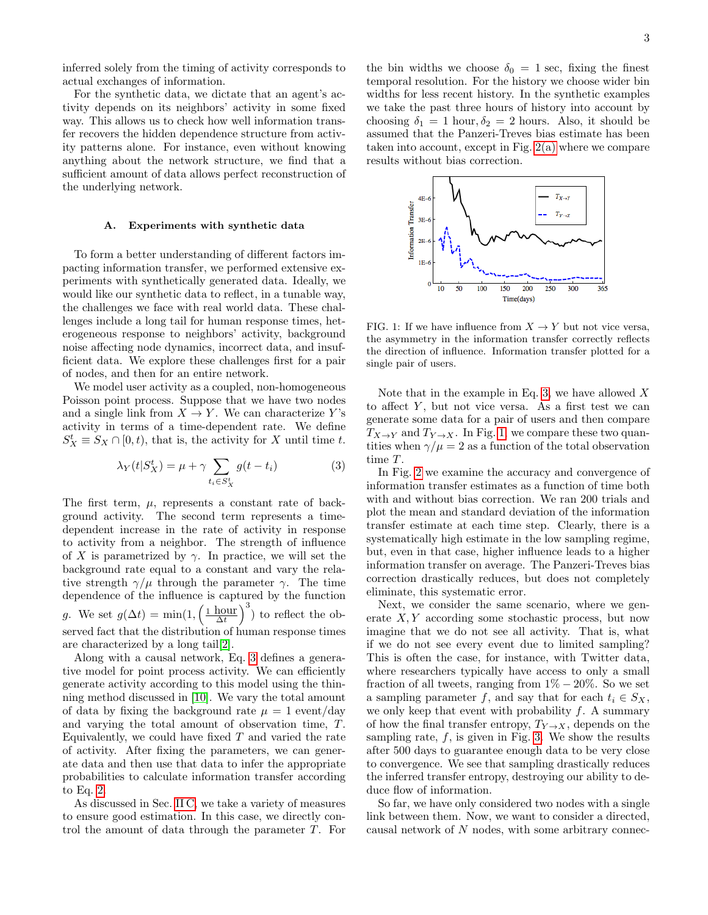inferred solely from the timing of activity corresponds to actual exchanges of information.

For the synthetic data, we dictate that an agent's activity depends on its neighbors' activity in some fixed way. This allows us to check how well information transfer recovers the hidden dependence structure from activity patterns alone. For instance, even without knowing anything about the network structure, we find that a sufficient amount of data allows perfect reconstruction of the underlying network.

#### <span id="page-2-0"></span>A. Experiments with synthetic data

To form a better understanding of different factors impacting information transfer, we performed extensive experiments with synthetically generated data. Ideally, we would like our synthetic data to reflect, in a tunable way, the challenges we face with real world data. These challenges include a long tail for human response times, heterogeneous response to neighbors' activity, background noise affecting node dynamics, incorrect data, and insufficient data. We explore these challenges first for a pair of nodes, and then for an entire network.

We model user activity as a coupled, non-homogeneous Poisson point process. Suppose that we have two nodes and a single link from  $X \to Y$ . We can characterize Y's activity in terms of a time-dependent rate. We define  $S_X^t \equiv S_X \cap [0, t)$ , that is, the activity for X until time t.

<span id="page-2-1"></span>
$$
\lambda_Y(t|S_X^t) = \mu + \gamma \sum_{t_i \in S_X^t} g(t - t_i)
$$
\n(3)

The first term,  $\mu$ , represents a constant rate of background activity. The second term represents a timedependent increase in the rate of activity in response to activity from a neighbor. The strength of influence of X is parametrized by  $\gamma$ . In practice, we will set the background rate equal to a constant and vary the relative strength  $\gamma/\mu$  through the parameter  $\gamma$ . The time dependence of the influence is captured by the function g. We set  $g(\Delta t) = \min(1, \left(\frac{1 \text{ hour}}{\Delta t}\right)^3)$  to reflect the observed fact that the distribution of human response times are characterized by a long tail[\[2\]](#page-7-15).

Along with a causal network, Eq. [3](#page-2-1) defines a generative model for point process activity. We can efficiently generate activity according to this model using the thinning method discussed in [\[10\]](#page-7-16). We vary the total amount of data by fixing the background rate  $\mu = 1$  event/day and varying the total amount of observation time, T. Equivalently, we could have fixed  $T$  and varied the rate of activity. After fixing the parameters, we can generate data and then use that data to infer the appropriate probabilities to calculate information transfer according to Eq. [2.](#page-1-0)

As discussed in Sec. [II C,](#page-1-1) we take a variety of measures to ensure good estimation. In this case, we directly control the amount of data through the parameter T. For

the bin widths we choose  $\delta_0 = 1$  sec, fixing the finest temporal resolution. For the history we choose wider bin widths for less recent history. In the synthetic examples we take the past three hours of history into account by choosing  $\delta_1 = 1$  hour,  $\delta_2 = 2$  hours. Also, it should be assumed that the Panzeri-Treves bias estimate has been taken into account, except in Fig. [2\(a\)](#page-3-2) where we compare results without bias correction.



<span id="page-2-2"></span>FIG. 1: If we have influence from  $X \to Y$  but not vice versa. the asymmetry in the information transfer correctly reflects the direction of influence. Information transfer plotted for a single pair of users.

Note that in the example in Eq. [3,](#page-2-1) we have allowed  $X$ to affect  $Y$ , but not vice versa. As a first test we can generate some data for a pair of users and then compare  $T_{X\to Y}$  and  $T_{Y\to X}$ . In Fig. [1,](#page-2-2) we compare these two quantities when  $\gamma/\mu = 2$  as a function of the total observation time T.

In Fig. [2](#page-3-1) we examine the accuracy and convergence of information transfer estimates as a function of time both with and without bias correction. We ran 200 trials and plot the mean and standard deviation of the information transfer estimate at each time step. Clearly, there is a systematically high estimate in the low sampling regime, but, even in that case, higher influence leads to a higher information transfer on average. The Panzeri-Treves bias correction drastically reduces, but does not completely eliminate, this systematic error.

Next, we consider the same scenario, where we generate  $X, Y$  according some stochastic process, but now imagine that we do not see all activity. That is, what if we do not see every event due to limited sampling? This is often the case, for instance, with Twitter data, where researchers typically have access to only a small fraction of all tweets, ranging from  $1\% - 20\%$ . So we set a sampling parameter f, and say that for each  $t_i \in S_X$ , we only keep that event with probability  $f$ . A summary of how the final transfer entropy,  $T_{Y\to X}$ , depends on the sampling rate,  $f$ , is given in Fig. [3.](#page-3-3) We show the results after 500 days to guarantee enough data to be very close to convergence. We see that sampling drastically reduces the inferred transfer entropy, destroying our ability to deduce flow of information.

So far, we have only considered two nodes with a single link between them. Now, we want to consider a directed, causal network of N nodes, with some arbitrary connec-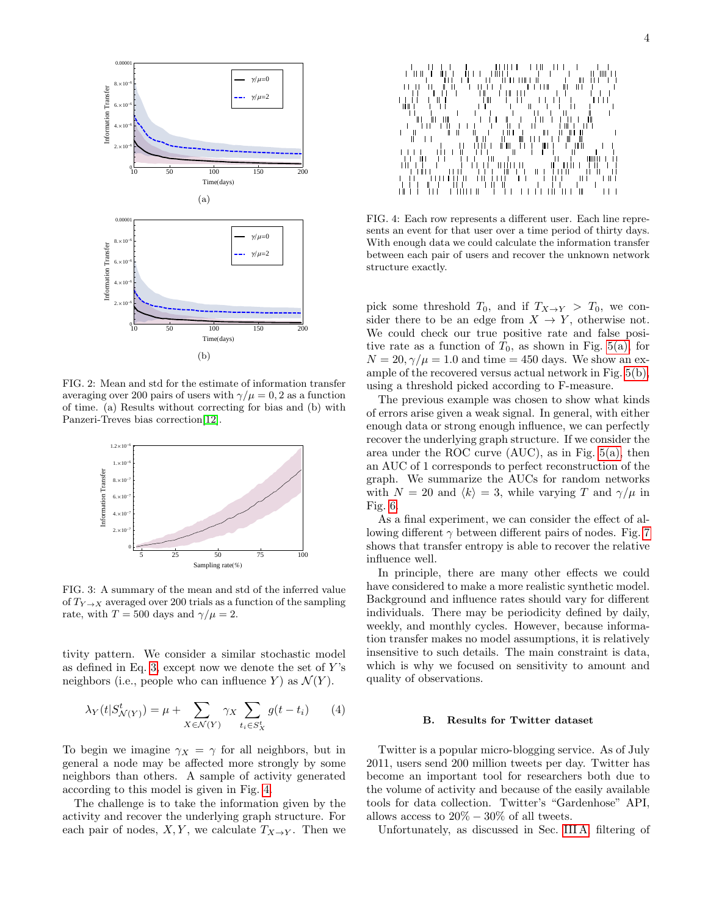<span id="page-3-2"></span>

<span id="page-3-1"></span>FIG. 2: Mean and std for the estimate of information transfer averaging over 200 pairs of users with  $\gamma/\mu = 0$ , 2 as a function of time. (a) Results without correcting for bias and (b) with Panzeri-Treves bias correction[\[12\]](#page-7-14).



<span id="page-3-3"></span>FIG. 3: A summary of the mean and std of the inferred value of  $T_{Y\to X}$  averaged over 200 trials as a function of the sampling rate, with  $T = 500$  days and  $\gamma/\mu = 2$ .

tivity pattern. We consider a similar stochastic model as defined in Eq. [3,](#page-2-1) except now we denote the set of  $Y$ 's neighbors (i.e., people who can influence Y) as  $\mathcal{N}(Y)$ .

$$
\lambda_Y(t|S^t_{\mathcal{N}(Y)}) = \mu + \sum_{X \in \mathcal{N}(Y)} \gamma_X \sum_{t_i \in S^t_X} g(t - t_i) \qquad (4)
$$

To begin we imagine  $\gamma_X = \gamma$  for all neighbors, but in general a node may be affected more strongly by some neighbors than others. A sample of activity generated according to this model is given in Fig. [4.](#page-3-4)

The challenge is to take the information given by the activity and recover the underlying graph structure. For each pair of nodes,  $X, Y$ , we calculate  $T_{X\to Y}$ . Then we



<span id="page-3-4"></span>FIG. 4: Each row represents a different user. Each line represents an event for that user over a time period of thirty days. With enough data we could calculate the information transfer between each pair of users and recover the unknown network structure exactly.

pick some threshold  $T_0$ , and if  $T_{X\to Y} > T_0$ , we consider there to be an edge from  $X \to Y$ , otherwise not. We could check our true positive rate and false positive rate as a function of  $T_0$ , as shown in Fig. [5\(a\),](#page-4-0) for  $N = 20, \gamma/\mu = 1.0$  and time = 450 days. We show an example of the recovered versus actual network in Fig. [5\(b\),](#page-4-1) using a threshold picked according to F-measure.

The previous example was chosen to show what kinds of errors arise given a weak signal. In general, with either enough data or strong enough influence, we can perfectly recover the underlying graph structure. If we consider the area under the ROC curve (AUC), as in Fig. [5\(a\),](#page-4-0) then an AUC of 1 corresponds to perfect reconstruction of the graph. We summarize the AUCs for random networks with  $N = 20$  and  $\langle k \rangle = 3$ , while varying T and  $\gamma/\mu$  in Fig. [6.](#page-4-2)

As a final experiment, we can consider the effect of allowing different  $\gamma$  between different pairs of nodes. Fig. [7](#page-4-3) shows that transfer entropy is able to recover the relative influence well.

In principle, there are many other effects we could have considered to make a more realistic synthetic model. Background and influence rates should vary for different individuals. There may be periodicity defined by daily, weekly, and monthly cycles. However, because information transfer makes no model assumptions, it is relatively insensitive to such details. The main constraint is data, which is why we focused on sensitivity to amount and quality of observations.

## <span id="page-3-0"></span>B. Results for Twitter dataset

Twitter is a popular micro-blogging service. As of July 2011, users send 200 million tweets per day. Twitter has become an important tool for researchers both due to the volume of activity and because of the easily available tools for data collection. Twitter's "Gardenhose" API, allows access to  $20\% - 30\%$  of all tweets.

Unfortunately, as discussed in Sec. [III A,](#page-2-0) filtering of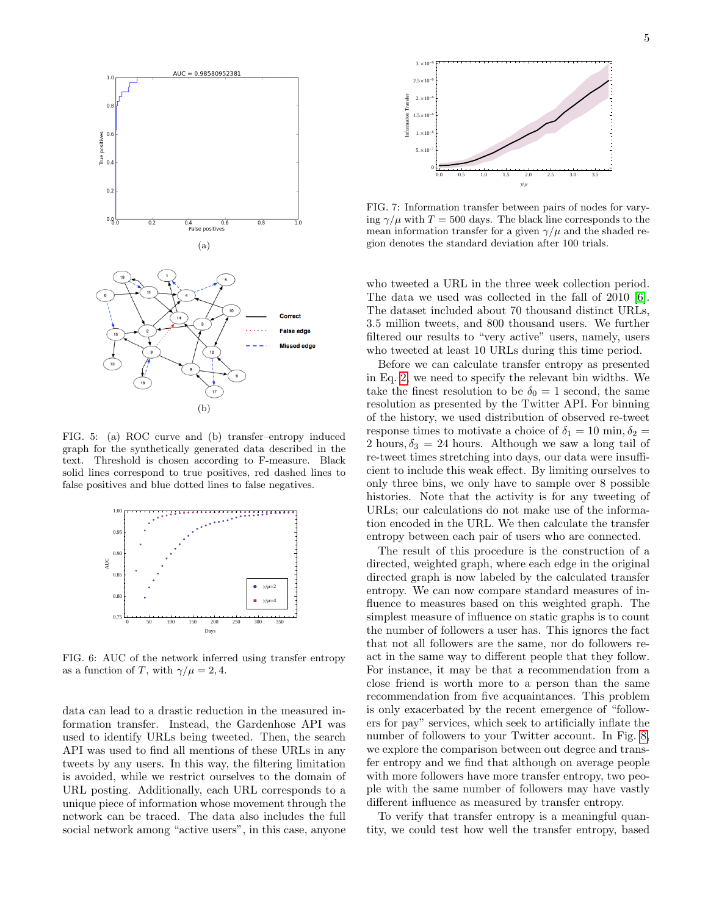<span id="page-4-0"></span>

<span id="page-4-1"></span>FIG. 5: (a) ROC curve and (b) transfer–entropy induced graph for the synthetically generated data described in the text. Threshold is chosen according to F-measure. Black solid lines correspond to true positives, red dashed lines to false positives and blue dotted lines to false negatives.



<span id="page-4-2"></span>FIG. 6: AUC of the network inferred using transfer entropy as a function of T, with  $\gamma/\mu = 2, 4$ .

data can lead to a drastic reduction in the measured information transfer. Instead, the Gardenhose API was used to identify URLs being tweeted. Then, the search API was used to find all mentions of these URLs in any tweets by any users. In this way, the filtering limitation is avoided, while we restrict ourselves to the domain of URL posting. Additionally, each URL corresponds to a unique piece of information whose movement through the network can be traced. The data also includes the full social network among "active users", in this case, anyone



<span id="page-4-3"></span>FIG. 7: Information transfer between pairs of nodes for varying  $\gamma/\mu$  with  $T = 500$  days. The black line corresponds to the mean information transfer for a given  $\gamma/\mu$  and the shaded region denotes the standard deviation after 100 trials.

who tweeted a URL in the three week collection period. The data we used was collected in the fall of 2010 [\[6\]](#page-7-5). The dataset included about 70 thousand distinct URLs, 3.5 million tweets, and 800 thousand users. We further filtered our results to "very active" users, namely, users who tweeted at least 10 URLs during this time period.

Before we can calculate transfer entropy as presented in Eq. [2,](#page-1-0) we need to specify the relevant bin widths. We take the finest resolution to be  $\delta_0 = 1$  second, the same resolution as presented by the Twitter API. For binning of the history, we used distribution of observed re-tweet response times to motivate a choice of  $\delta_1 = 10 \text{ min}, \delta_2 =$ 2 hours,  $\delta_3 = 24$  hours. Although we saw a long tail of re-tweet times stretching into days, our data were insufficient to include this weak effect. By limiting ourselves to only three bins, we only have to sample over 8 possible histories. Note that the activity is for any tweeting of URLs; our calculations do not make use of the information encoded in the URL. We then calculate the transfer entropy between each pair of users who are connected.

The result of this procedure is the construction of a directed, weighted graph, where each edge in the original directed graph is now labeled by the calculated transfer entropy. We can now compare standard measures of influence to measures based on this weighted graph. The simplest measure of influence on static graphs is to count the number of followers a user has. This ignores the fact that not all followers are the same, nor do followers react in the same way to different people that they follow. For instance, it may be that a recommendation from a close friend is worth more to a person than the same recommendation from five acquaintances. This problem is only exacerbated by the recent emergence of "followers for pay" services, which seek to artificially inflate the number of followers to your Twitter account. In Fig. [8,](#page-5-0) we explore the comparison between out degree and transfer entropy and we find that although on average people with more followers have more transfer entropy, two people with the same number of followers may have vastly different influence as measured by transfer entropy.

To verify that transfer entropy is a meaningful quantity, we could test how well the transfer entropy, based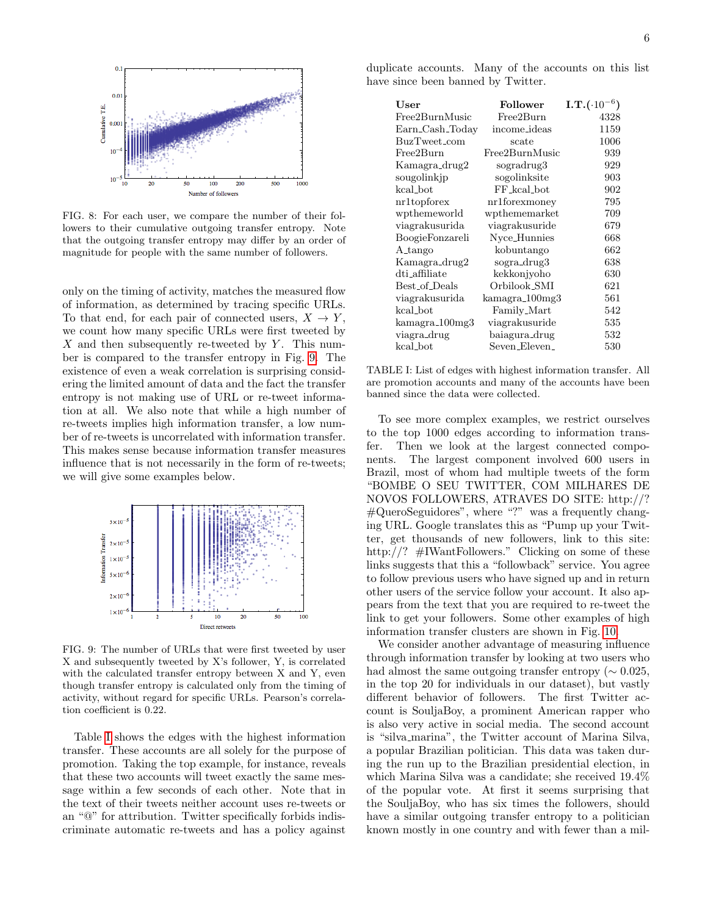

<span id="page-5-0"></span>FIG. 8: For each user, we compare the number of their followers to their cumulative outgoing transfer entropy. Note that the outgoing transfer entropy may differ by an order of magnitude for people with the same number of followers.

only on the timing of activity, matches the measured flow of information, as determined by tracing specific URLs. To that end, for each pair of connected users,  $X \to Y$ , we count how many specific URLs were first tweeted by  $X$  and then subsequently re-tweeted by Y. This number is compared to the transfer entropy in Fig. [9.](#page-5-1) The existence of even a weak correlation is surprising considering the limited amount of data and the fact the transfer entropy is not making use of URL or re-tweet information at all. We also note that while a high number of re-tweets implies high information transfer, a low number of re-tweets is uncorrelated with information transfer. This makes sense because information transfer measures influence that is not necessarily in the form of re-tweets; we will give some examples below.



<span id="page-5-1"></span>FIG. 9: The number of URLs that were first tweeted by user X and subsequently tweeted by X's follower, Y, is correlated with the calculated transfer entropy between X and Y, even though transfer entropy is calculated only from the timing of activity, without regard for specific URLs. Pearson's correlation coefficient is 0.22.

Table [I](#page-5-2) shows the edges with the highest information transfer. These accounts are all solely for the purpose of promotion. Taking the top example, for instance, reveals that these two accounts will tweet exactly the same message within a few seconds of each other. Note that in the text of their tweets neither account uses re-tweets or an "@" for attribution. Twitter specifically forbids indiscriminate automatic re-tweets and has a policy against

| User                        | Follower       | $\text{I.T.}(\cdot 10^{-6})$ |
|-----------------------------|----------------|------------------------------|
| Free2BurnMusic              | Free2Burn      | 4328                         |
| Earn_Cash_Today             | income_ideas   | 1159                         |
| BuzTweet_com                | scate          | 1006                         |
| Free2Burn                   | Free2BurnMusic | 939                          |
| Kamagra_drug2               | sogradrug3     | 929                          |
| sougolinkjp                 | sogolinksite   | 903                          |
| kcal_bot                    | FF_kcal_bot    | 902                          |
| nr1topforex                 | nr1forexmoney  | 795                          |
| wpthemeworld                | wpthememarket  | 709                          |
| viagrakusurida              | viagrakusuride | 679                          |
| BoogieFonzareli             | Nyce_Hunnies   | 668                          |
| A_tango                     | kobuntango     | 662                          |
| Kamagra_drug2               | sogra_drug3    | 638                          |
| dti_affiliate               | kekkonjyoho    | 630                          |
| Best_of_Deals               | Orbilook_SMI   | 621                          |
| viagrakusurida              | kamagra_100mg3 | 561                          |
| kcal_bot                    | Family_Mart    | 542                          |
| kamagra <sub>-100</sub> mg3 | viagrakusuride | 535                          |
| viagra_drug                 | baiagura_drug  | 532                          |
| kcal_bot                    | Seven_Eleven_  | 530                          |

<span id="page-5-2"></span>TABLE I: List of edges with highest information transfer. All are promotion accounts and many of the accounts have been banned since the data were collected.

To see more complex examples, we restrict ourselves to the top 1000 edges according to information transfer. Then we look at the largest connected components. The largest component involved 600 users in Brazil, most of whom had multiple tweets of the form "BOMBE O SEU TWITTER, COM MILHARES DE NOVOS FOLLOWERS, ATRAVES DO SITE: http://? #QueroSeguidores", where "?" was a frequently changing URL. Google translates this as "Pump up your Twitter, get thousands of new followers, link to this site: http://? #IWantFollowers." Clicking on some of these links suggests that this a "followback" service. You agree to follow previous users who have signed up and in return other users of the service follow your account. It also appears from the text that you are required to re-tweet the link to get your followers. Some other examples of high information transfer clusters are shown in Fig. [10.](#page-6-1)

We consider another advantage of measuring influence through information transfer by looking at two users who had almost the same outgoing transfer entropy ( $\sim 0.025$ , in the top 20 for individuals in our dataset), but vastly different behavior of followers. The first Twitter account is SouljaBoy, a prominent American rapper who is also very active in social media. The second account is "silva marina", the Twitter account of Marina Silva, a popular Brazilian politician. This data was taken during the run up to the Brazilian presidential election, in which Marina Silva was a candidate; she received 19.4% of the popular vote. At first it seems surprising that the SouljaBoy, who has six times the followers, should have a similar outgoing transfer entropy to a politician known mostly in one country and with fewer than a mil-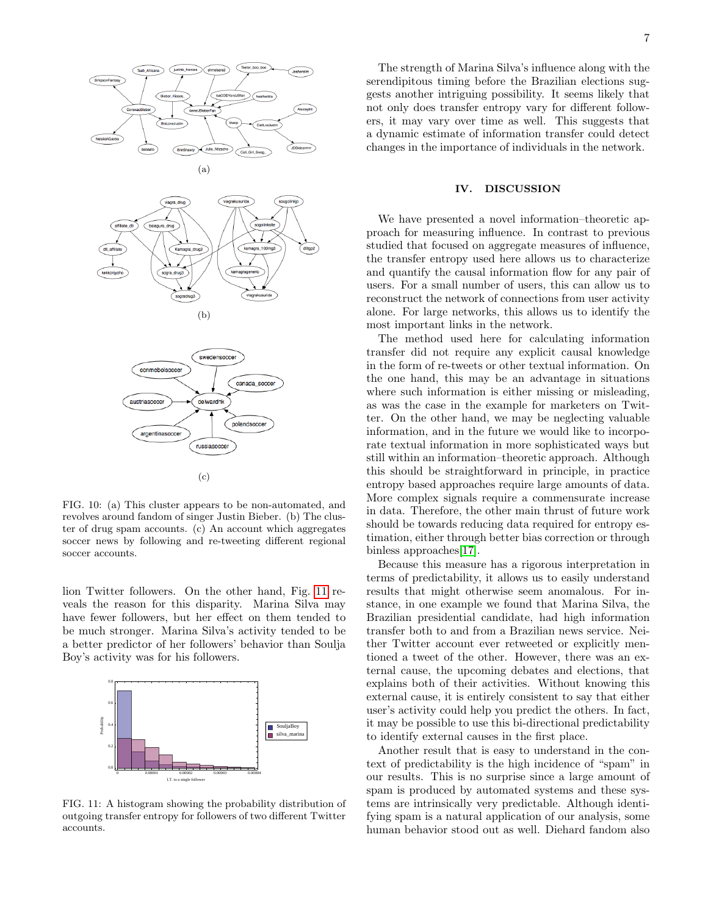

<span id="page-6-1"></span>FIG. 10: (a) This cluster appears to be non-automated, and revolves around fandom of singer Justin Bieber. (b) The cluster of drug spam accounts. (c) An account which aggregates soccer news by following and re-tweeting different regional soccer accounts.

lion Twitter followers. On the other hand, Fig. [11](#page-6-2) reveals the reason for this disparity. Marina Silva may have fewer followers, but her effect on them tended to be much stronger. Marina Silva's activity tended to be a better predictor of her followers' behavior than Soulja Boy's activity was for his followers.



<span id="page-6-2"></span>FIG. 11: A histogram showing the probability distribution of outgoing transfer entropy for followers of two different Twitter accounts.

The strength of Marina Silva's influence along with the serendipitous timing before the Brazilian elections suggests another intriguing possibility. It seems likely that not only does transfer entropy vary for different followers, it may vary over time as well. This suggests that a dynamic estimate of information transfer could detect changes in the importance of individuals in the network.

### <span id="page-6-0"></span>IV. DISCUSSION

We have presented a novel information–theoretic approach for measuring influence. In contrast to previous studied that focused on aggregate measures of influence, the transfer entropy used here allows us to characterize and quantify the causal information flow for any pair of users. For a small number of users, this can allow us to reconstruct the network of connections from user activity alone. For large networks, this allows us to identify the most important links in the network.

The method used here for calculating information transfer did not require any explicit causal knowledge in the form of re-tweets or other textual information. On the one hand, this may be an advantage in situations where such information is either missing or misleading, as was the case in the example for marketers on Twitter. On the other hand, we may be neglecting valuable information, and in the future we would like to incorporate textual information in more sophisticated ways but still within an information–theoretic approach. Although this should be straightforward in principle, in practice entropy based approaches require large amounts of data. More complex signals require a commensurate increase in data. Therefore, the other main thrust of future work should be towards reducing data required for entropy estimation, either through better bias correction or through binless approaches[\[17\]](#page-7-12).

Because this measure has a rigorous interpretation in terms of predictability, it allows us to easily understand results that might otherwise seem anomalous. For instance, in one example we found that Marina Silva, the Brazilian presidential candidate, had high information transfer both to and from a Brazilian news service. Neither Twitter account ever retweeted or explicitly mentioned a tweet of the other. However, there was an external cause, the upcoming debates and elections, that explains both of their activities. Without knowing this external cause, it is entirely consistent to say that either user's activity could help you predict the others. In fact, it may be possible to use this bi-directional predictability to identify external causes in the first place.

Another result that is easy to understand in the context of predictability is the high incidence of "spam" in our results. This is no surprise since a large amount of spam is produced by automated systems and these systems are intrinsically very predictable. Although identifying spam is a natural application of our analysis, some human behavior stood out as well. Diehard fandom also